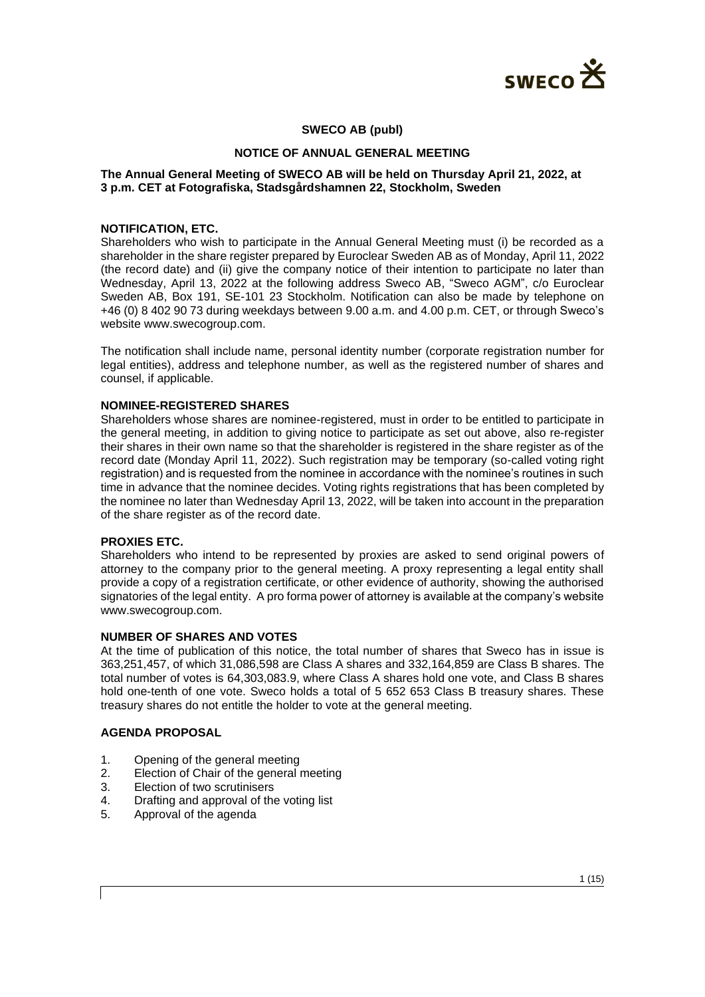

## **SWECO AB (publ)**

#### **NOTICE OF ANNUAL GENERAL MEETING**

### **The Annual General Meeting of SWECO AB will be held on Thursday April 21, 2022, at 3 p.m. CET at Fotografiska, Stadsgårdshamnen 22, Stockholm, Sweden**

#### **NOTIFICATION, ETC.**

Shareholders who wish to participate in the Annual General Meeting must (i) be recorded as a shareholder in the share register prepared by Euroclear Sweden AB as of Monday, April 11, 2022 (the record date) and (ii) give the company notice of their intention to participate no later than Wednesday, April 13, 2022 at the following address Sweco AB, "Sweco AGM", c/o Euroclear Sweden AB, Box 191, SE-101 23 Stockholm. Notification can also be made by telephone on +46 (0) 8 402 90 73 during weekdays between 9.00 a.m. and 4.00 p.m. CET, or through Sweco's website www.swecogroup.com.

The notification shall include name, personal identity number (corporate registration number for legal entities), address and telephone number, as well as the registered number of shares and counsel, if applicable.

#### **NOMINEE-REGISTERED SHARES**

Shareholders whose shares are nominee-registered, must in order to be entitled to participate in the general meeting, in addition to giving notice to participate as set out above, also re-register their shares in their own name so that the shareholder is registered in the share register as of the record date (Monday April 11, 2022). Such registration may be temporary (so-called voting right registration) and is requested from the nominee in accordance with the nominee's routines in such time in advance that the nominee decides. Voting rights registrations that has been completed by the nominee no later than Wednesday April 13, 2022, will be taken into account in the preparation of the share register as of the record date.

#### **PROXIES ETC.**

Shareholders who intend to be represented by proxies are asked to send original powers of attorney to the company prior to the general meeting. A proxy representing a legal entity shall provide a copy of a registration certificate, or other evidence of authority, showing the authorised signatories of the legal entity. A pro forma power of attorney is available at the company's website www.swecogroup.com.

#### **NUMBER OF SHARES AND VOTES**

At the time of publication of this notice, the total number of shares that Sweco has in issue is 363,251,457, of which 31,086,598 are Class A shares and 332,164,859 are Class B shares. The total number of votes is 64,303,083.9, where Class A shares hold one vote, and Class B shares hold one-tenth of one vote. Sweco holds a total of 5 652 653 Class B treasury shares. These treasury shares do not entitle the holder to vote at the general meeting.

## **AGENDA PROPOSAL**

- 1. Opening of the general meeting
- 2. Election of Chair of the general meeting
- 3. Election of two scrutinisers
- 4. Drafting and approval of the voting list
- 5. Approval of the agenda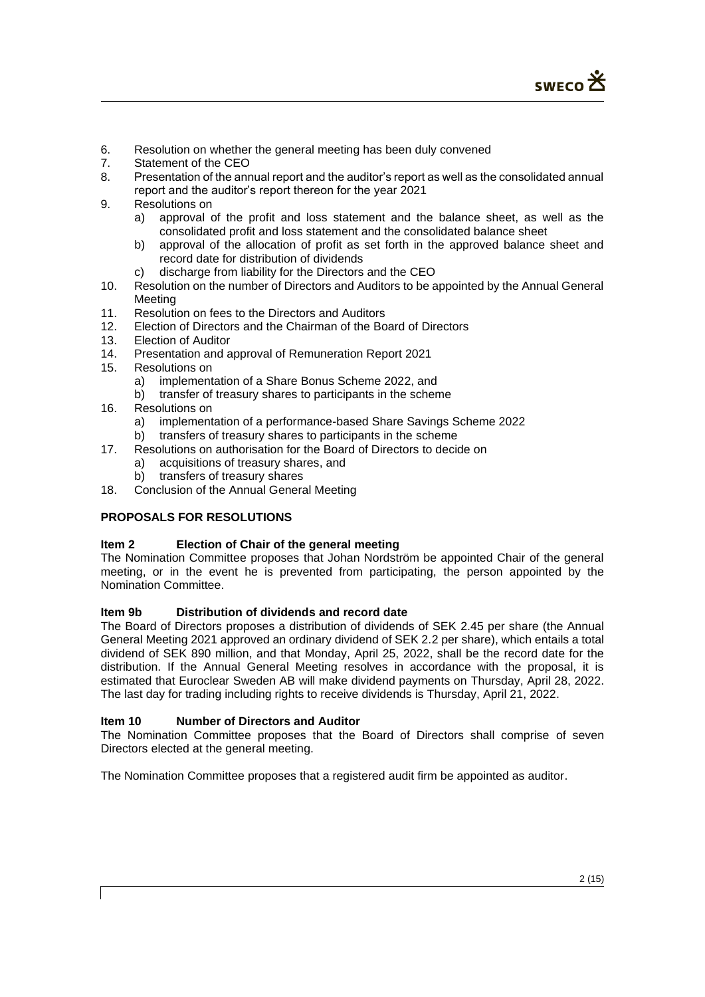- 6. Resolution on whether the general meeting has been duly convened<br>7. Statement of the CEO
- Statement of the CEO
- 8. Presentation of the annual report and the auditor's report as well as the consolidated annual report and the auditor's report thereon for the year 2021
- 9. Resolutions on
	- a) approval of the profit and loss statement and the balance sheet, as well as the consolidated profit and loss statement and the consolidated balance sheet
	- b) approval of the allocation of profit as set forth in the approved balance sheet and record date for distribution of dividends
	- c) discharge from liability for the Directors and the CEO
- 10. Resolution on the number of Directors and Auditors to be appointed by the Annual General Meeting
- 11. Resolution on fees to the Directors and Auditors
- 12. Election of Directors and the Chairman of the Board of Directors
- 13. Election of Auditor
- 14. Presentation and approval of Remuneration Report 2021
- 15. Resolutions on
	- a) implementation of a Share Bonus Scheme 2022, and
	- b) transfer of treasury shares to participants in the scheme
- 16. Resolutions on
	- a) implementation of a performance-based Share Savings Scheme 2022
	- b) transfers of treasury shares to participants in the scheme
- 17. Resolutions on authorisation for the Board of Directors to decide on
	- a) acquisitions of treasury shares, and
	- b) transfers of treasury shares
- 18. Conclusion of the Annual General Meeting

# **PROPOSALS FOR RESOLUTIONS**

### **Item 2 Election of Chair of the general meeting**

The Nomination Committee proposes that Johan Nordström be appointed Chair of the general meeting, or in the event he is prevented from participating, the person appointed by the Nomination Committee.

### **Item 9b Distribution of dividends and record date**

The Board of Directors proposes a distribution of dividends of SEK 2.45 per share (the Annual General Meeting 2021 approved an ordinary dividend of SEK 2.2 per share), which entails a total dividend of SEK 890 million, and that Monday, April 25, 2022, shall be the record date for the distribution. If the Annual General Meeting resolves in accordance with the proposal, it is estimated that Euroclear Sweden AB will make dividend payments on Thursday, April 28, 2022. The last day for trading including rights to receive dividends is Thursday, April 21, 2022.

### **Item 10 Number of Directors and Auditor**

The Nomination Committee proposes that the Board of Directors shall comprise of seven Directors elected at the general meeting.

The Nomination Committee proposes that a registered audit firm be appointed as auditor.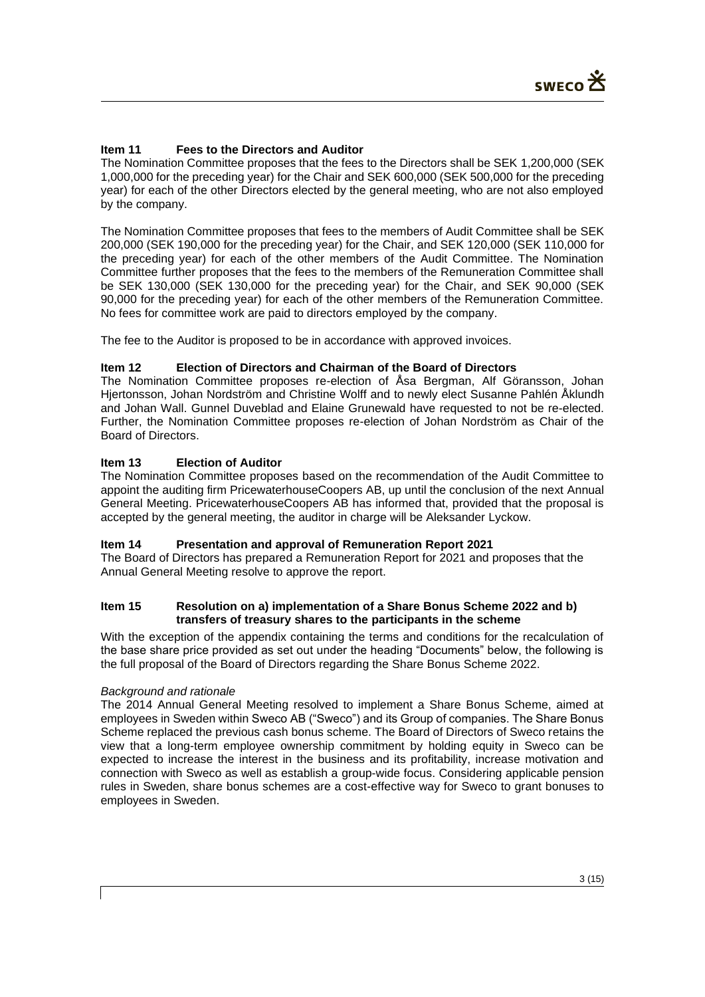# **Item 11 Fees to the Directors and Auditor**

The Nomination Committee proposes that the fees to the Directors shall be SEK 1,200,000 (SEK 1,000,000 for the preceding year) for the Chair and SEK 600,000 (SEK 500,000 for the preceding year) for each of the other Directors elected by the general meeting, who are not also employed by the company.

The Nomination Committee proposes that fees to the members of Audit Committee shall be SEK 200,000 (SEK 190,000 for the preceding year) for the Chair, and SEK 120,000 (SEK 110,000 for the preceding year) for each of the other members of the Audit Committee. The Nomination Committee further proposes that the fees to the members of the Remuneration Committee shall be SEK 130,000 (SEK 130,000 for the preceding year) for the Chair, and SEK 90,000 (SEK 90,000 for the preceding year) for each of the other members of the Remuneration Committee. No fees for committee work are paid to directors employed by the company.

The fee to the Auditor is proposed to be in accordance with approved invoices.

## **Item 12 Election of Directors and Chairman of the Board of Directors**

The Nomination Committee proposes re-election of Åsa Bergman, Alf Göransson, Johan Hjertonsson, Johan Nordström and Christine Wolff and to newly elect Susanne Pahlén Åklundh and Johan Wall. Gunnel Duveblad and Elaine Grunewald have requested to not be re-elected. Further, the Nomination Committee proposes re-election of Johan Nordström as Chair of the Board of Directors.

## **Item 13 Election of Auditor**

The Nomination Committee proposes based on the recommendation of the Audit Committee to appoint the auditing firm PricewaterhouseCoopers AB, up until the conclusion of the next Annual General Meeting. PricewaterhouseCoopers AB has informed that, provided that the proposal is accepted by the general meeting, the auditor in charge will be Aleksander Lyckow.

### **Item 14 Presentation and approval of Remuneration Report 2021**

The Board of Directors has prepared a Remuneration Report for 2021 and proposes that the Annual General Meeting resolve to approve the report.

## **Item 15 Resolution on a) implementation of a Share Bonus Scheme 2022 and b) transfers of treasury shares to the participants in the scheme**

With the exception of the appendix containing the terms and conditions for the recalculation of the base share price provided as set out under the heading "Documents" below, the following is the full proposal of the Board of Directors regarding the Share Bonus Scheme 2022.

### *Background and rationale*

The 2014 Annual General Meeting resolved to implement a Share Bonus Scheme, aimed at employees in Sweden within Sweco AB ("Sweco") and its Group of companies. The Share Bonus Scheme replaced the previous cash bonus scheme. The Board of Directors of Sweco retains the view that a long-term employee ownership commitment by holding equity in Sweco can be expected to increase the interest in the business and its profitability, increase motivation and connection with Sweco as well as establish a group-wide focus. Considering applicable pension rules in Sweden, share bonus schemes are a cost-effective way for Sweco to grant bonuses to employees in Sweden.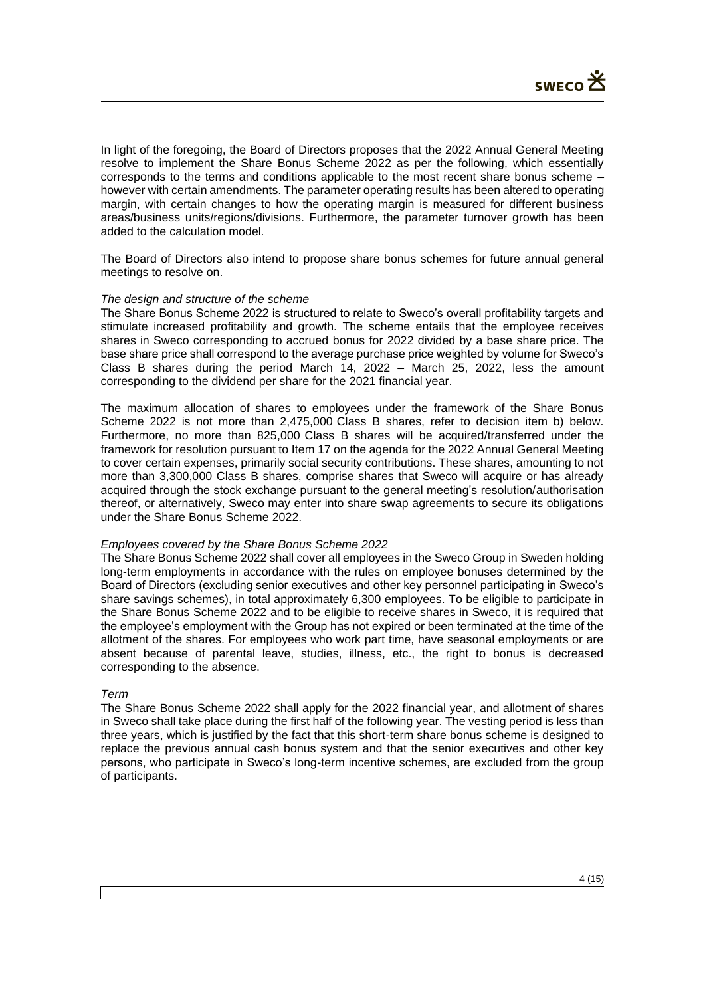In light of the foregoing, the Board of Directors proposes that the 2022 Annual General Meeting resolve to implement the Share Bonus Scheme 2022 as per the following, which essentially corresponds to the terms and conditions applicable to the most recent share bonus scheme – however with certain amendments. The parameter operating results has been altered to operating margin, with certain changes to how the operating margin is measured for different business areas/business units/regions/divisions. Furthermore, the parameter turnover growth has been added to the calculation model.

The Board of Directors also intend to propose share bonus schemes for future annual general meetings to resolve on.

#### *The design and structure of the scheme*

The Share Bonus Scheme 2022 is structured to relate to Sweco's overall profitability targets and stimulate increased profitability and growth. The scheme entails that the employee receives shares in Sweco corresponding to accrued bonus for 2022 divided by a base share price. The base share price shall correspond to the average purchase price weighted by volume for Sweco's Class B shares during the period March 14, 2022 – March 25, 2022, less the amount corresponding to the dividend per share for the 2021 financial year.

The maximum allocation of shares to employees under the framework of the Share Bonus Scheme 2022 is not more than 2,475,000 Class B shares, refer to decision item b) below. Furthermore, no more than 825,000 Class B shares will be acquired/transferred under the framework for resolution pursuant to Item 17 on the agenda for the 2022 Annual General Meeting to cover certain expenses, primarily social security contributions. These shares, amounting to not more than 3,300,000 Class B shares, comprise shares that Sweco will acquire or has already acquired through the stock exchange pursuant to the general meeting's resolution/authorisation thereof, or alternatively, Sweco may enter into share swap agreements to secure its obligations under the Share Bonus Scheme 2022.

#### *Employees covered by the Share Bonus Scheme 2022*

The Share Bonus Scheme 2022 shall cover all employees in the Sweco Group in Sweden holding long-term employments in accordance with the rules on employee bonuses determined by the Board of Directors (excluding senior executives and other key personnel participating in Sweco's share savings schemes), in total approximately 6,300 employees. To be eligible to participate in the Share Bonus Scheme 2022 and to be eligible to receive shares in Sweco, it is required that the employee's employment with the Group has not expired or been terminated at the time of the allotment of the shares. For employees who work part time, have seasonal employments or are absent because of parental leave, studies, illness, etc., the right to bonus is decreased corresponding to the absence.

#### *Term*

The Share Bonus Scheme 2022 shall apply for the 2022 financial year, and allotment of shares in Sweco shall take place during the first half of the following year. The vesting period is less than three years, which is justified by the fact that this short-term share bonus scheme is designed to replace the previous annual cash bonus system and that the senior executives and other key persons, who participate in Sweco's long-term incentive schemes, are excluded from the group of participants.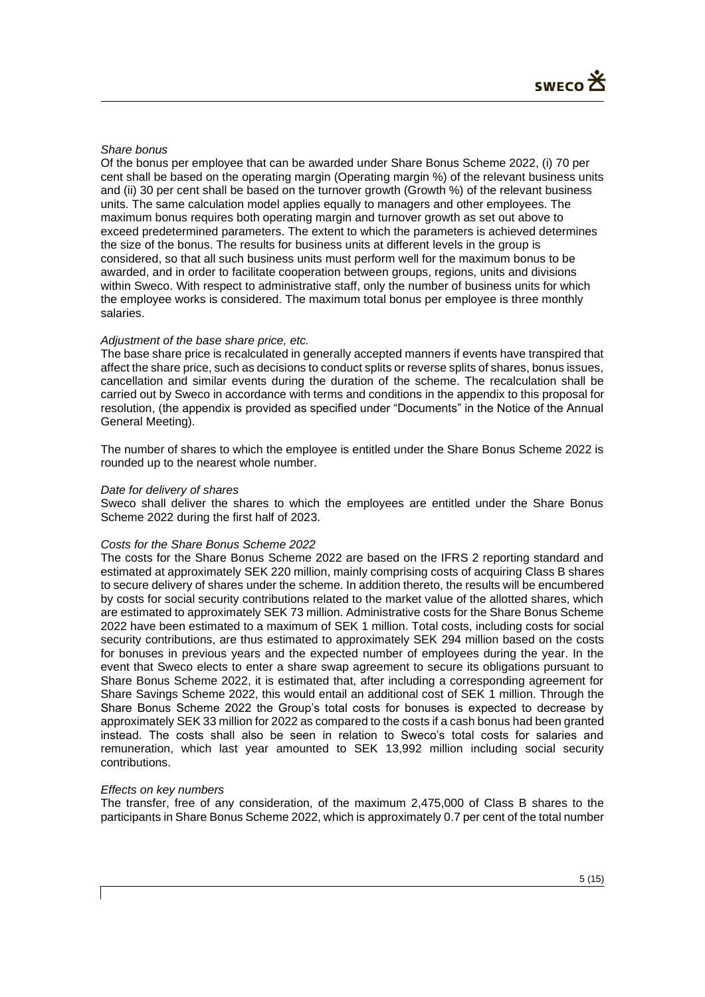### *Share bonus*

Of the bonus per employee that can be awarded under Share Bonus Scheme 2022, (i) 70 per cent shall be based on the operating margin (Operating margin %) of the relevant business units and (ii) 30 per cent shall be based on the turnover growth (Growth %) of the relevant business units. The same calculation model applies equally to managers and other employees. The maximum bonus requires both operating margin and turnover growth as set out above to exceed predetermined parameters. The extent to which the parameters is achieved determines the size of the bonus. The results for business units at different levels in the group is considered, so that all such business units must perform well for the maximum bonus to be awarded, and in order to facilitate cooperation between groups, regions, units and divisions within Sweco. With respect to administrative staff, only the number of business units for which the employee works is considered. The maximum total bonus per employee is three monthly salaries.

## *Adjustment of the base share price, etc.*

The base share price is recalculated in generally accepted manners if events have transpired that affect the share price, such as decisions to conduct splits or reverse splits of shares, bonus issues, cancellation and similar events during the duration of the scheme. The recalculation shall be carried out by Sweco in accordance with terms and conditions in the appendix to this proposal for resolution, (the appendix is provided as specified under "Documents" in the Notice of the Annual General Meeting).

The number of shares to which the employee is entitled under the Share Bonus Scheme 2022 is rounded up to the nearest whole number.

### *Date for delivery of shares*

Sweco shall deliver the shares to which the employees are entitled under the Share Bonus Scheme 2022 during the first half of 2023.

### *Costs for the Share Bonus Scheme 2022*

The costs for the Share Bonus Scheme 2022 are based on the IFRS 2 reporting standard and estimated at approximately SEK 220 million, mainly comprising costs of acquiring Class B shares to secure delivery of shares under the scheme. In addition thereto, the results will be encumbered by costs for social security contributions related to the market value of the allotted shares, which are estimated to approximately SEK 73 million. Administrative costs for the Share Bonus Scheme 2022 have been estimated to a maximum of SEK 1 million. Total costs, including costs for social security contributions, are thus estimated to approximately SEK 294 million based on the costs for bonuses in previous years and the expected number of employees during the year. In the event that Sweco elects to enter a share swap agreement to secure its obligations pursuant to Share Bonus Scheme 2022, it is estimated that, after including a corresponding agreement for Share Savings Scheme 2022, this would entail an additional cost of SEK 1 million. Through the Share Bonus Scheme 2022 the Group's total costs for bonuses is expected to decrease by approximately SEK 33 million for 2022 as compared to the costs if a cash bonus had been granted instead. The costs shall also be seen in relation to Sweco's total costs for salaries and remuneration, which last year amounted to SEK 13,992 million including social security contributions.

### *Effects on key numbers*

The transfer, free of any consideration, of the maximum 2,475,000 of Class B shares to the participants in Share Bonus Scheme 2022, which is approximately 0.7 per cent of the total number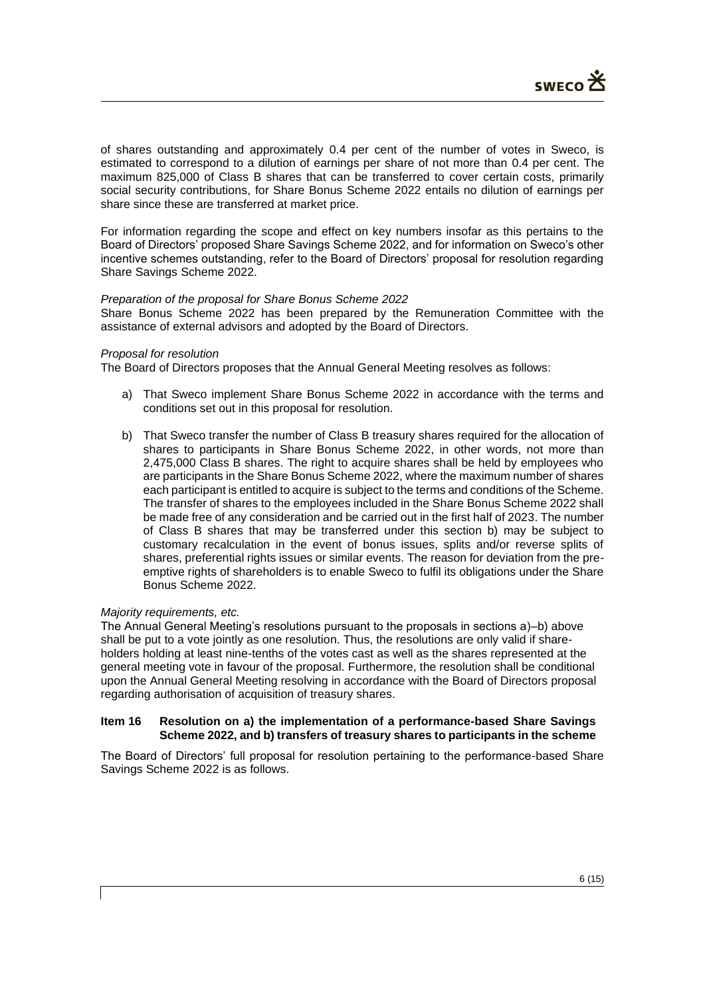of shares outstanding and approximately 0.4 per cent of the number of votes in Sweco, is estimated to correspond to a dilution of earnings per share of not more than 0.4 per cent. The maximum 825,000 of Class B shares that can be transferred to cover certain costs, primarily social security contributions, for Share Bonus Scheme 2022 entails no dilution of earnings per share since these are transferred at market price.

For information regarding the scope and effect on key numbers insofar as this pertains to the Board of Directors' proposed Share Savings Scheme 2022, and for information on Sweco's other incentive schemes outstanding, refer to the Board of Directors' proposal for resolution regarding Share Savings Scheme 2022.

### *Preparation of the proposal for Share Bonus Scheme 2022*

Share Bonus Scheme 2022 has been prepared by the Remuneration Committee with the assistance of external advisors and adopted by the Board of Directors.

#### *Proposal for resolution*

The Board of Directors proposes that the Annual General Meeting resolves as follows:

- a) That Sweco implement Share Bonus Scheme 2022 in accordance with the terms and conditions set out in this proposal for resolution.
- b) That Sweco transfer the number of Class B treasury shares required for the allocation of shares to participants in Share Bonus Scheme 2022, in other words, not more than 2,475,000 Class B shares. The right to acquire shares shall be held by employees who are participants in the Share Bonus Scheme 2022, where the maximum number of shares each participant is entitled to acquire is subject to the terms and conditions of the Scheme. The transfer of shares to the employees included in the Share Bonus Scheme 2022 shall be made free of any consideration and be carried out in the first half of 2023. The number of Class B shares that may be transferred under this section b) may be subject to customary recalculation in the event of bonus issues, splits and/or reverse splits of shares, preferential rights issues or similar events. The reason for deviation from the preemptive rights of shareholders is to enable Sweco to fulfil its obligations under the Share Bonus Scheme 2022.

### *Majority requirements, etc.*

The Annual General Meeting's resolutions pursuant to the proposals in sections a)–b) above shall be put to a vote jointly as one resolution. Thus, the resolutions are only valid if shareholders holding at least nine-tenths of the votes cast as well as the shares represented at the general meeting vote in favour of the proposal. Furthermore, the resolution shall be conditional upon the Annual General Meeting resolving in accordance with the Board of Directors proposal regarding authorisation of acquisition of treasury shares.

### **Item 16 Resolution on a) the implementation of a performance-based Share Savings Scheme 2022, and b) transfers of treasury shares to participants in the scheme**

The Board of Directors' full proposal for resolution pertaining to the performance-based Share Savings Scheme 2022 is as follows.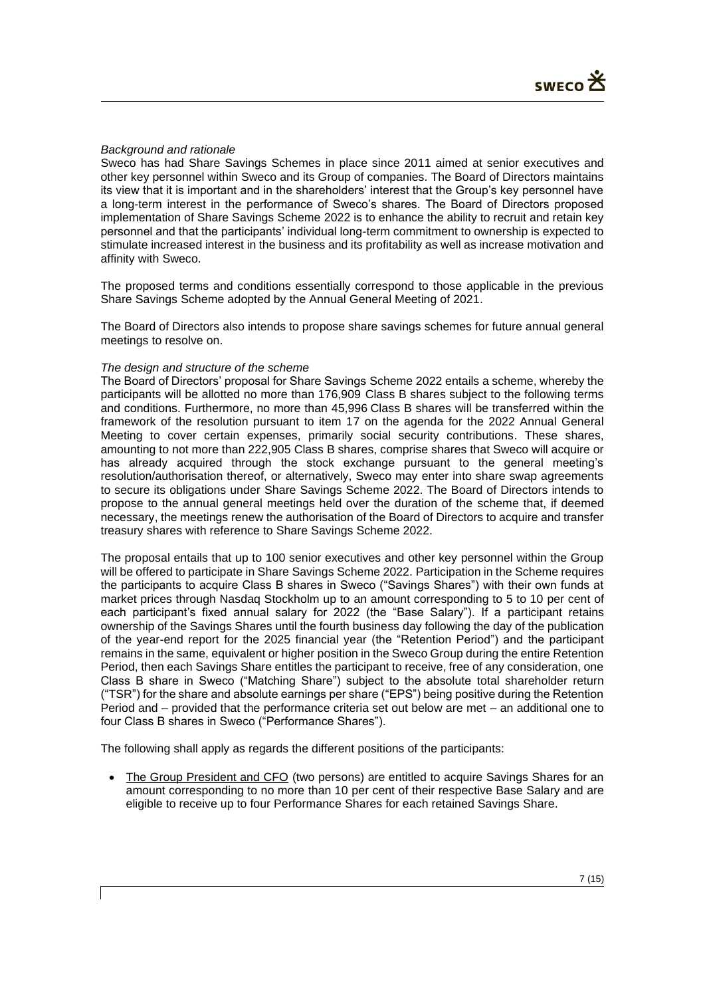## *Background and rationale*

Sweco has had Share Savings Schemes in place since 2011 aimed at senior executives and other key personnel within Sweco and its Group of companies. The Board of Directors maintains its view that it is important and in the shareholders' interest that the Group's key personnel have a long-term interest in the performance of Sweco's shares. The Board of Directors proposed implementation of Share Savings Scheme 2022 is to enhance the ability to recruit and retain key personnel and that the participants' individual long-term commitment to ownership is expected to stimulate increased interest in the business and its profitability as well as increase motivation and affinity with Sweco.

The proposed terms and conditions essentially correspond to those applicable in the previous Share Savings Scheme adopted by the Annual General Meeting of 2021.

The Board of Directors also intends to propose share savings schemes for future annual general meetings to resolve on.

### *The design and structure of the scheme*

The Board of Directors' proposal for Share Savings Scheme 2022 entails a scheme, whereby the participants will be allotted no more than 176,909 Class B shares subject to the following terms and conditions. Furthermore, no more than 45,996 Class B shares will be transferred within the framework of the resolution pursuant to item 17 on the agenda for the 2022 Annual General Meeting to cover certain expenses, primarily social security contributions. These shares, amounting to not more than 222,905 Class B shares, comprise shares that Sweco will acquire or has already acquired through the stock exchange pursuant to the general meeting's resolution/authorisation thereof, or alternatively, Sweco may enter into share swap agreements to secure its obligations under Share Savings Scheme 2022. The Board of Directors intends to propose to the annual general meetings held over the duration of the scheme that, if deemed necessary, the meetings renew the authorisation of the Board of Directors to acquire and transfer treasury shares with reference to Share Savings Scheme 2022.

The proposal entails that up to 100 senior executives and other key personnel within the Group will be offered to participate in Share Savings Scheme 2022. Participation in the Scheme requires the participants to acquire Class B shares in Sweco ("Savings Shares") with their own funds at market prices through Nasdaq Stockholm up to an amount corresponding to 5 to 10 per cent of each participant's fixed annual salary for 2022 (the "Base Salary"). If a participant retains ownership of the Savings Shares until the fourth business day following the day of the publication of the year-end report for the 2025 financial year (the "Retention Period") and the participant remains in the same, equivalent or higher position in the Sweco Group during the entire Retention Period, then each Savings Share entitles the participant to receive, free of any consideration, one Class B share in Sweco ("Matching Share") subject to the absolute total shareholder return ("TSR") for the share and absolute earnings per share ("EPS") being positive during the Retention Period and – provided that the performance criteria set out below are met – an additional one to four Class B shares in Sweco ("Performance Shares").

The following shall apply as regards the different positions of the participants:

• The Group President and CFO (two persons) are entitled to acquire Savings Shares for an amount corresponding to no more than 10 per cent of their respective Base Salary and are eligible to receive up to four Performance Shares for each retained Savings Share.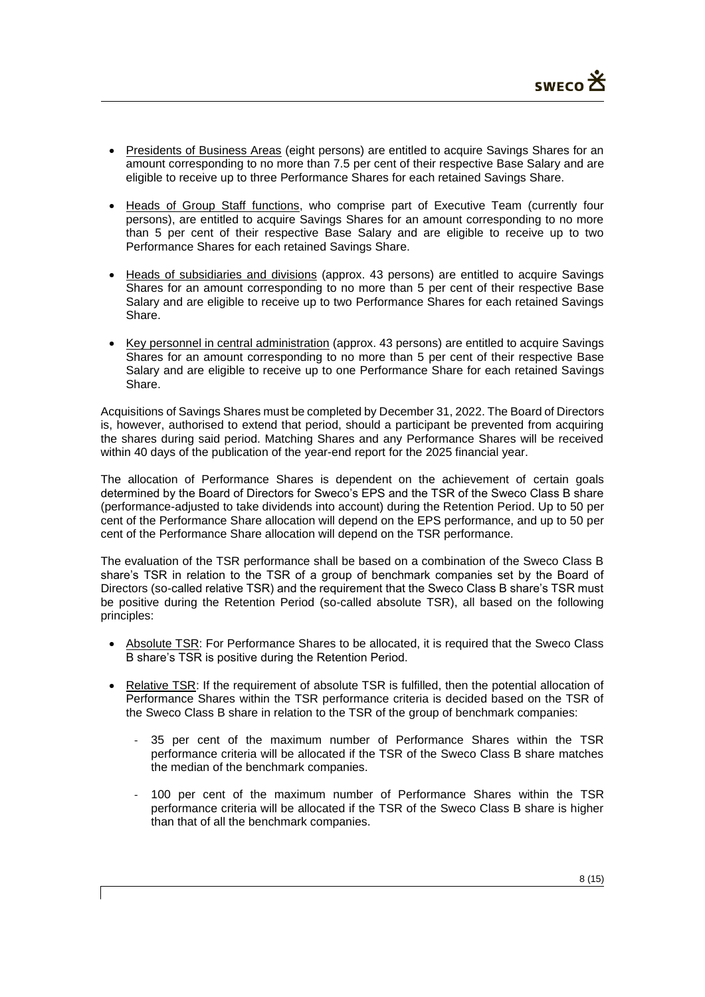- Presidents of Business Areas (eight persons) are entitled to acquire Savings Shares for an amount corresponding to no more than 7.5 per cent of their respective Base Salary and are eligible to receive up to three Performance Shares for each retained Savings Share.
- Heads of Group Staff functions, who comprise part of Executive Team (currently four persons), are entitled to acquire Savings Shares for an amount corresponding to no more than 5 per cent of their respective Base Salary and are eligible to receive up to two Performance Shares for each retained Savings Share.
- Heads of subsidiaries and divisions (approx. 43 persons) are entitled to acquire Savings Shares for an amount corresponding to no more than 5 per cent of their respective Base Salary and are eligible to receive up to two Performance Shares for each retained Savings Share.
- Key personnel in central administration (approx. 43 persons) are entitled to acquire Savings Shares for an amount corresponding to no more than 5 per cent of their respective Base Salary and are eligible to receive up to one Performance Share for each retained Savings Share.

Acquisitions of Savings Shares must be completed by December 31, 2022. The Board of Directors is, however, authorised to extend that period, should a participant be prevented from acquiring the shares during said period. Matching Shares and any Performance Shares will be received within 40 days of the publication of the year-end report for the 2025 financial year.

The allocation of Performance Shares is dependent on the achievement of certain goals determined by the Board of Directors for Sweco's EPS and the TSR of the Sweco Class B share (performance-adjusted to take dividends into account) during the Retention Period. Up to 50 per cent of the Performance Share allocation will depend on the EPS performance, and up to 50 per cent of the Performance Share allocation will depend on the TSR performance.

The evaluation of the TSR performance shall be based on a combination of the Sweco Class B share's TSR in relation to the TSR of a group of benchmark companies set by the Board of Directors (so-called relative TSR) and the requirement that the Sweco Class B share's TSR must be positive during the Retention Period (so-called absolute TSR), all based on the following principles:

- Absolute TSR: For Performance Shares to be allocated, it is required that the Sweco Class B share's TSR is positive during the Retention Period.
- Relative TSR: If the requirement of absolute TSR is fulfilled, then the potential allocation of Performance Shares within the TSR performance criteria is decided based on the TSR of the Sweco Class B share in relation to the TSR of the group of benchmark companies:
	- 35 per cent of the maximum number of Performance Shares within the TSR performance criteria will be allocated if the TSR of the Sweco Class B share matches the median of the benchmark companies.
	- 100 per cent of the maximum number of Performance Shares within the TSR performance criteria will be allocated if the TSR of the Sweco Class B share is higher than that of all the benchmark companies.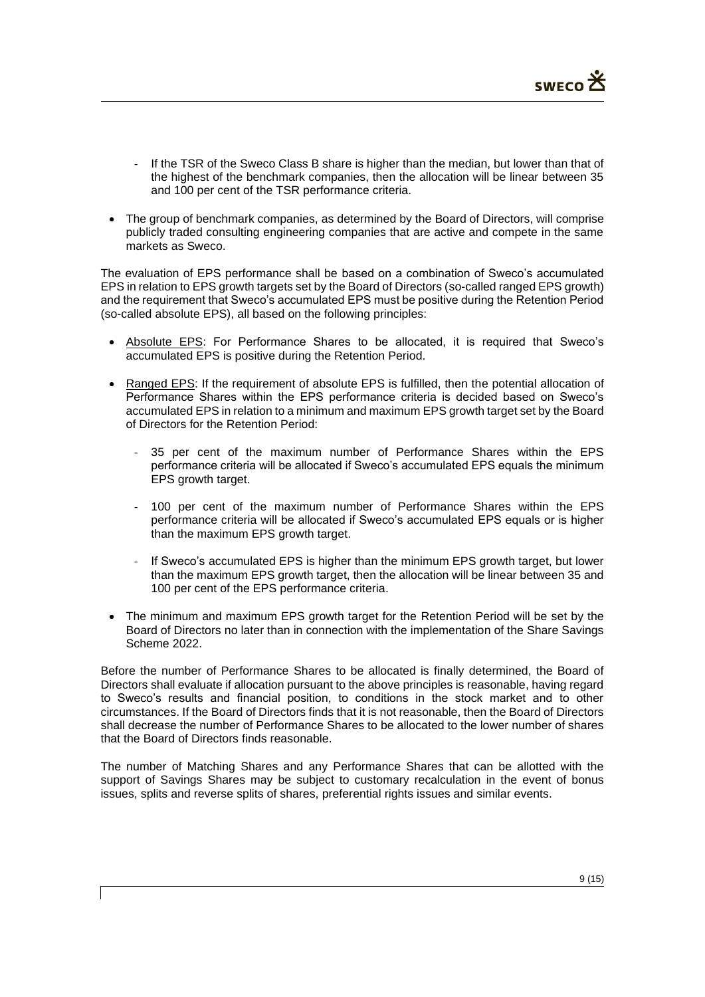- If the TSR of the Sweco Class B share is higher than the median, but lower than that of the highest of the benchmark companies, then the allocation will be linear between 35 and 100 per cent of the TSR performance criteria.
- The group of benchmark companies, as determined by the Board of Directors, will comprise publicly traded consulting engineering companies that are active and compete in the same markets as Sweco.

The evaluation of EPS performance shall be based on a combination of Sweco's accumulated EPS in relation to EPS growth targets set by the Board of Directors (so-called ranged EPS growth) and the requirement that Sweco's accumulated EPS must be positive during the Retention Period (so-called absolute EPS), all based on the following principles:

- Absolute EPS: For Performance Shares to be allocated, it is required that Sweco's accumulated EPS is positive during the Retention Period.
- Ranged EPS: If the requirement of absolute EPS is fulfilled, then the potential allocation of Performance Shares within the EPS performance criteria is decided based on Sweco's accumulated EPS in relation to a minimum and maximum EPS growth target set by the Board of Directors for the Retention Period:
	- 35 per cent of the maximum number of Performance Shares within the EPS performance criteria will be allocated if Sweco's accumulated EPS equals the minimum EPS growth target.
	- 100 per cent of the maximum number of Performance Shares within the EPS performance criteria will be allocated if Sweco's accumulated EPS equals or is higher than the maximum EPS growth target.
	- If Sweco's accumulated EPS is higher than the minimum EPS growth target, but lower than the maximum EPS growth target, then the allocation will be linear between 35 and 100 per cent of the EPS performance criteria.
- The minimum and maximum EPS growth target for the Retention Period will be set by the Board of Directors no later than in connection with the implementation of the Share Savings Scheme 2022.

Before the number of Performance Shares to be allocated is finally determined, the Board of Directors shall evaluate if allocation pursuant to the above principles is reasonable, having regard to Sweco's results and financial position, to conditions in the stock market and to other circumstances. If the Board of Directors finds that it is not reasonable, then the Board of Directors shall decrease the number of Performance Shares to be allocated to the lower number of shares that the Board of Directors finds reasonable.

The number of Matching Shares and any Performance Shares that can be allotted with the support of Savings Shares may be subject to customary recalculation in the event of bonus issues, splits and reverse splits of shares, preferential rights issues and similar events.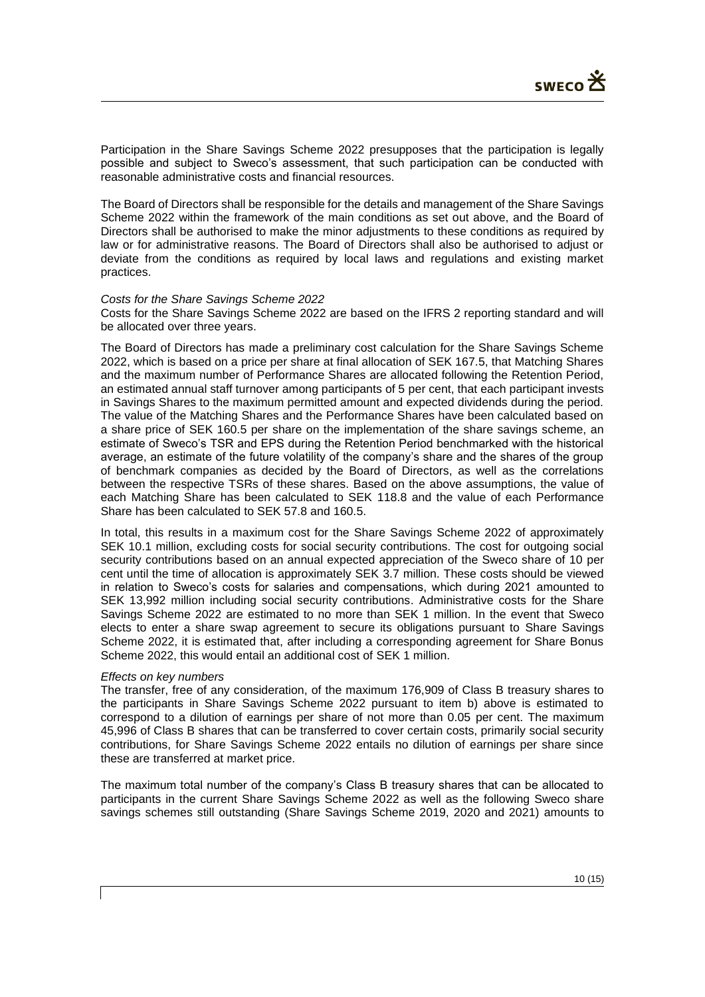Participation in the Share Savings Scheme 2022 presupposes that the participation is legally possible and subject to Sweco's assessment, that such participation can be conducted with reasonable administrative costs and financial resources.

The Board of Directors shall be responsible for the details and management of the Share Savings Scheme 2022 within the framework of the main conditions as set out above, and the Board of Directors shall be authorised to make the minor adjustments to these conditions as required by law or for administrative reasons. The Board of Directors shall also be authorised to adjust or deviate from the conditions as required by local laws and regulations and existing market practices.

#### *Costs for the Share Savings Scheme 2022*

Costs for the Share Savings Scheme 2022 are based on the IFRS 2 reporting standard and will be allocated over three years.

The Board of Directors has made a preliminary cost calculation for the Share Savings Scheme 2022, which is based on a price per share at final allocation of SEK 167.5, that Matching Shares and the maximum number of Performance Shares are allocated following the Retention Period, an estimated annual staff turnover among participants of 5 per cent, that each participant invests in Savings Shares to the maximum permitted amount and expected dividends during the period. The value of the Matching Shares and the Performance Shares have been calculated based on a share price of SEK 160.5 per share on the implementation of the share savings scheme, an estimate of Sweco's TSR and EPS during the Retention Period benchmarked with the historical average, an estimate of the future volatility of the company's share and the shares of the group of benchmark companies as decided by the Board of Directors, as well as the correlations between the respective TSRs of these shares. Based on the above assumptions, the value of each Matching Share has been calculated to SEK 118.8 and the value of each Performance Share has been calculated to SEK 57.8 and 160.5.

In total, this results in a maximum cost for the Share Savings Scheme 2022 of approximately SEK 10.1 million, excluding costs for social security contributions. The cost for outgoing social security contributions based on an annual expected appreciation of the Sweco share of 10 per cent until the time of allocation is approximately SEK 3.7 million. These costs should be viewed in relation to Sweco's costs for salaries and compensations, which during 2021 amounted to SEK 13,992 million including social security contributions. Administrative costs for the Share Savings Scheme 2022 are estimated to no more than SEK 1 million. In the event that Sweco elects to enter a share swap agreement to secure its obligations pursuant to Share Savings Scheme 2022, it is estimated that, after including a corresponding agreement for Share Bonus Scheme 2022, this would entail an additional cost of SEK 1 million.

### *Effects on key numbers*

The transfer, free of any consideration, of the maximum 176,909 of Class B treasury shares to the participants in Share Savings Scheme 2022 pursuant to item b) above is estimated to correspond to a dilution of earnings per share of not more than 0.05 per cent. The maximum 45,996 of Class B shares that can be transferred to cover certain costs, primarily social security contributions, for Share Savings Scheme 2022 entails no dilution of earnings per share since these are transferred at market price.

The maximum total number of the company's Class B treasury shares that can be allocated to participants in the current Share Savings Scheme 2022 as well as the following Sweco share savings schemes still outstanding (Share Savings Scheme 2019, 2020 and 2021) amounts to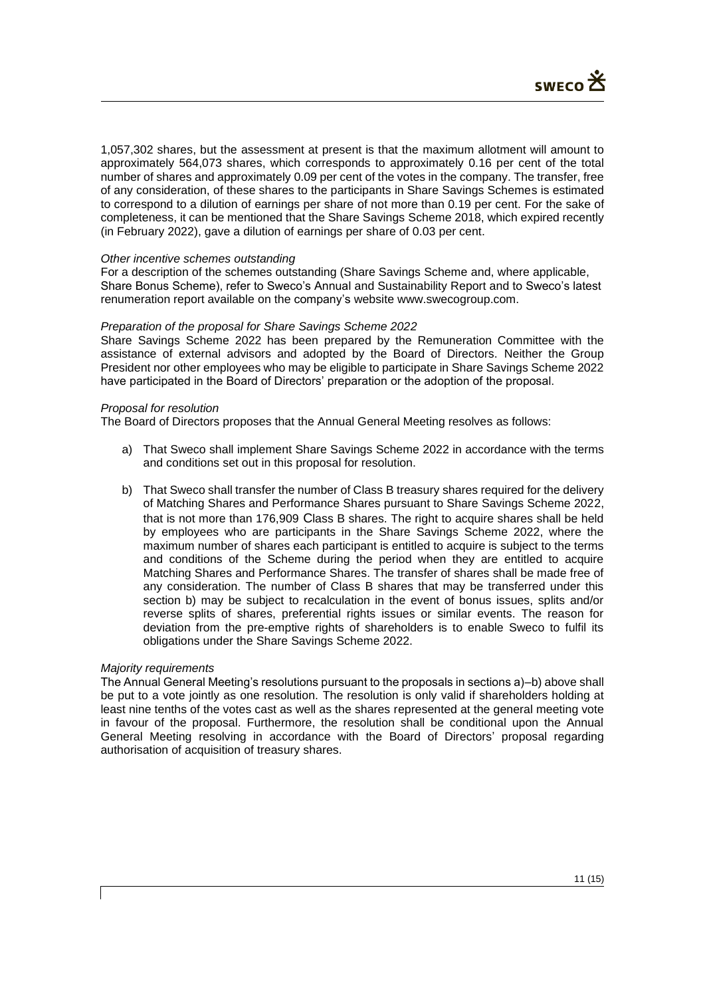1,057,302 shares, but the assessment at present is that the maximum allotment will amount to approximately 564,073 shares, which corresponds to approximately 0.16 per cent of the total number of shares and approximately 0.09 per cent of the votes in the company. The transfer, free of any consideration, of these shares to the participants in Share Savings Schemes is estimated to correspond to a dilution of earnings per share of not more than 0.19 per cent. For the sake of completeness, it can be mentioned that the Share Savings Scheme 2018, which expired recently (in February 2022), gave a dilution of earnings per share of 0.03 per cent.

### *Other incentive schemes outstanding*

For a description of the schemes outstanding (Share Savings Scheme and, where applicable, Share Bonus Scheme), refer to Sweco's Annual and Sustainability Report and to Sweco's latest renumeration report available on the company's website www.swecogroup.com.

### *Preparation of the proposal for Share Savings Scheme 2022*

Share Savings Scheme 2022 has been prepared by the Remuneration Committee with the assistance of external advisors and adopted by the Board of Directors. Neither the Group President nor other employees who may be eligible to participate in Share Savings Scheme 2022 have participated in the Board of Directors' preparation or the adoption of the proposal.

### *Proposal for resolution*

The Board of Directors proposes that the Annual General Meeting resolves as follows:

- a) That Sweco shall implement Share Savings Scheme 2022 in accordance with the terms and conditions set out in this proposal for resolution.
- b) That Sweco shall transfer the number of Class B treasury shares required for the delivery of Matching Shares and Performance Shares pursuant to Share Savings Scheme 2022, that is not more than 176,909 Class B shares. The right to acquire shares shall be held by employees who are participants in the Share Savings Scheme 2022, where the maximum number of shares each participant is entitled to acquire is subject to the terms and conditions of the Scheme during the period when they are entitled to acquire Matching Shares and Performance Shares. The transfer of shares shall be made free of any consideration. The number of Class B shares that may be transferred under this section b) may be subject to recalculation in the event of bonus issues, splits and/or reverse splits of shares, preferential rights issues or similar events. The reason for deviation from the pre-emptive rights of shareholders is to enable Sweco to fulfil its obligations under the Share Savings Scheme 2022.

### *Majority requirements*

The Annual General Meeting's resolutions pursuant to the proposals in sections a)–b) above shall be put to a vote jointly as one resolution. The resolution is only valid if shareholders holding at least nine tenths of the votes cast as well as the shares represented at the general meeting vote in favour of the proposal. Furthermore, the resolution shall be conditional upon the Annual General Meeting resolving in accordance with the Board of Directors' proposal regarding authorisation of acquisition of treasury shares.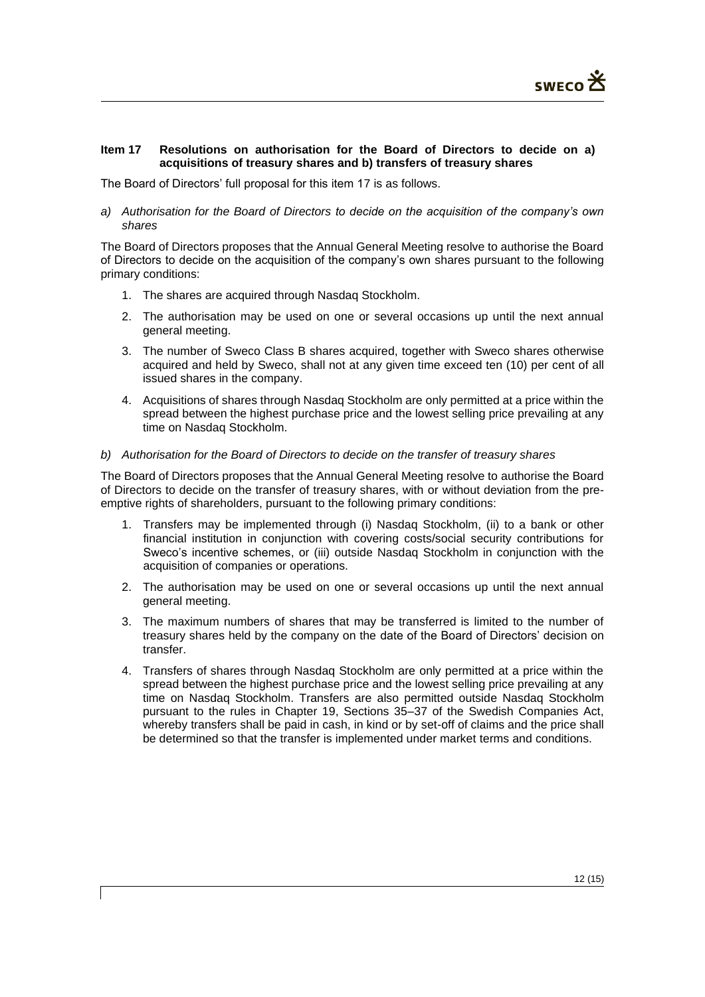## **Item 17 Resolutions on authorisation for the Board of Directors to decide on a) acquisitions of treasury shares and b) transfers of treasury shares**

The Board of Directors' full proposal for this item 17 is as follows.

*a) Authorisation for the Board of Directors to decide on the acquisition of the company's own shares*

The Board of Directors proposes that the Annual General Meeting resolve to authorise the Board of Directors to decide on the acquisition of the company's own shares pursuant to the following primary conditions:

- 1. The shares are acquired through Nasdaq Stockholm.
- 2. The authorisation may be used on one or several occasions up until the next annual general meeting.
- 3. The number of Sweco Class B shares acquired, together with Sweco shares otherwise acquired and held by Sweco, shall not at any given time exceed ten (10) per cent of all issued shares in the company.
- 4. Acquisitions of shares through Nasdaq Stockholm are only permitted at a price within the spread between the highest purchase price and the lowest selling price prevailing at any time on Nasdaq Stockholm.

### *b) Authorisation for the Board of Directors to decide on the transfer of treasury shares*

The Board of Directors proposes that the Annual General Meeting resolve to authorise the Board of Directors to decide on the transfer of treasury shares, with or without deviation from the preemptive rights of shareholders, pursuant to the following primary conditions:

- 1. Transfers may be implemented through (i) Nasdaq Stockholm, (ii) to a bank or other financial institution in conjunction with covering costs/social security contributions for Sweco's incentive schemes, or (iii) outside Nasdaq Stockholm in conjunction with the acquisition of companies or operations.
- 2. The authorisation may be used on one or several occasions up until the next annual general meeting.
- 3. The maximum numbers of shares that may be transferred is limited to the number of treasury shares held by the company on the date of the Board of Directors' decision on transfer.
- 4. Transfers of shares through Nasdaq Stockholm are only permitted at a price within the spread between the highest purchase price and the lowest selling price prevailing at any time on Nasdaq Stockholm. Transfers are also permitted outside Nasdaq Stockholm pursuant to the rules in Chapter 19, Sections 35–37 of the Swedish Companies Act, whereby transfers shall be paid in cash, in kind or by set-off of claims and the price shall be determined so that the transfer is implemented under market terms and conditions.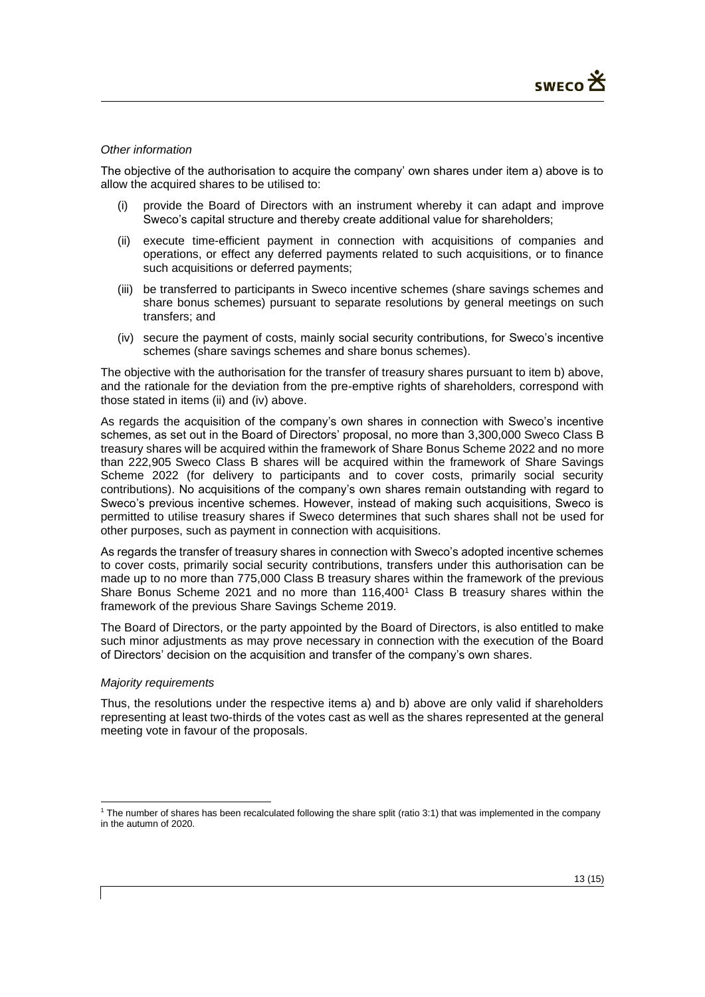## *Other information*

The objective of the authorisation to acquire the company' own shares under item a) above is to allow the acquired shares to be utilised to:

- (i) provide the Board of Directors with an instrument whereby it can adapt and improve Sweco's capital structure and thereby create additional value for shareholders;
- (ii) execute time-efficient payment in connection with acquisitions of companies and operations, or effect any deferred payments related to such acquisitions, or to finance such acquisitions or deferred payments;
- (iii) be transferred to participants in Sweco incentive schemes (share savings schemes and share bonus schemes) pursuant to separate resolutions by general meetings on such transfers; and
- (iv) secure the payment of costs, mainly social security contributions, for Sweco's incentive schemes (share savings schemes and share bonus schemes).

The objective with the authorisation for the transfer of treasury shares pursuant to item b) above, and the rationale for the deviation from the pre-emptive rights of shareholders, correspond with those stated in items (ii) and (iv) above.

As regards the acquisition of the company's own shares in connection with Sweco's incentive schemes, as set out in the Board of Directors' proposal, no more than 3,300,000 Sweco Class B treasury shares will be acquired within the framework of Share Bonus Scheme 2022 and no more than 222,905 Sweco Class B shares will be acquired within the framework of Share Savings Scheme 2022 (for delivery to participants and to cover costs, primarily social security contributions). No acquisitions of the company's own shares remain outstanding with regard to Sweco's previous incentive schemes. However, instead of making such acquisitions, Sweco is permitted to utilise treasury shares if Sweco determines that such shares shall not be used for other purposes, such as payment in connection with acquisitions.

As regards the transfer of treasury shares in connection with Sweco's adopted incentive schemes to cover costs, primarily social security contributions, transfers under this authorisation can be made up to no more than 775,000 Class B treasury shares within the framework of the previous Share Bonus Scheme 2021 and no more than 116,400<sup>1</sup> Class B treasury shares within the framework of the previous Share Savings Scheme 2019.

The Board of Directors, or the party appointed by the Board of Directors, is also entitled to make such minor adjustments as may prove necessary in connection with the execution of the Board of Directors' decision on the acquisition and transfer of the company's own shares.

### *Majority requirements*

Thus, the resolutions under the respective items a) and b) above are only valid if shareholders representing at least two-thirds of the votes cast as well as the shares represented at the general meeting vote in favour of the proposals.

<sup>1</sup> The number of shares has been recalculated following the share split (ratio 3:1) that was implemented in the company in the autumn of 2020.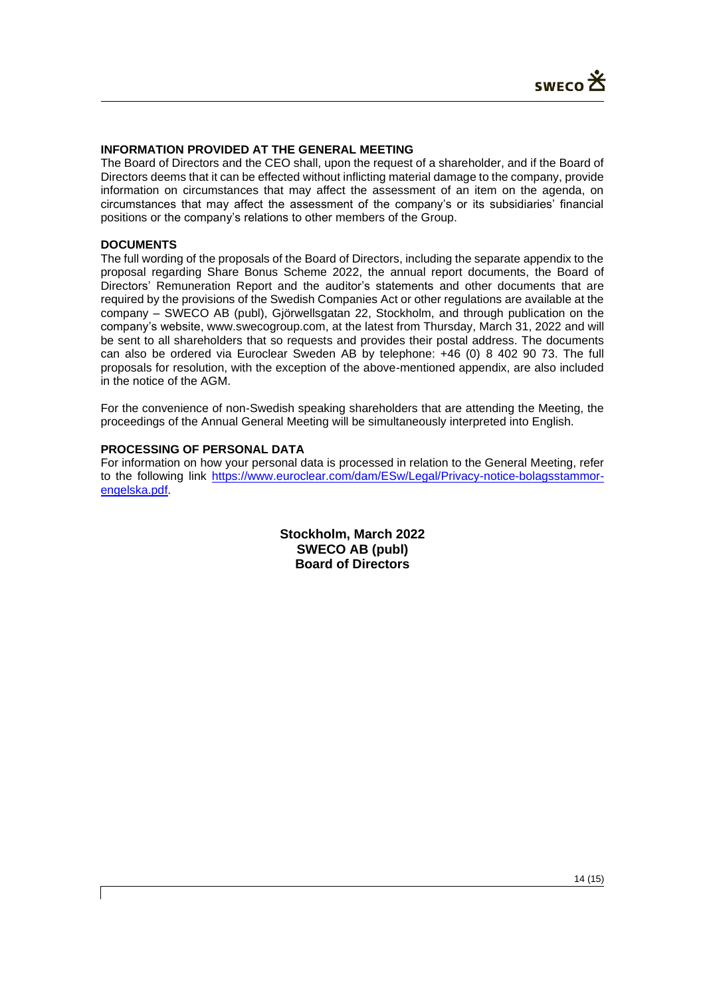# **INFORMATION PROVIDED AT THE GENERAL MEETING**

The Board of Directors and the CEO shall, upon the request of a shareholder, and if the Board of Directors deems that it can be effected without inflicting material damage to the company, provide information on circumstances that may affect the assessment of an item on the agenda, on circumstances that may affect the assessment of the company's or its subsidiaries' financial positions or the company's relations to other members of the Group.

### **DOCUMENTS**

The full wording of the proposals of the Board of Directors, including the separate appendix to the proposal regarding Share Bonus Scheme 2022, the annual report documents, the Board of Directors' Remuneration Report and the auditor's statements and other documents that are required by the provisions of the Swedish Companies Act or other regulations are available at the company – SWECO AB (publ), Gjörwellsgatan 22, Stockholm, and through publication on the company's website, www.swecogroup.com, at the latest from Thursday, March 31, 2022 and will be sent to all shareholders that so requests and provides their postal address. The documents can also be ordered via Euroclear Sweden AB by telephone: +46 (0) 8 402 90 73. The full proposals for resolution, with the exception of the above-mentioned appendix, are also included in the notice of the AGM.

For the convenience of non-Swedish speaking shareholders that are attending the Meeting, the proceedings of the Annual General Meeting will be simultaneously interpreted into English.

## **PROCESSING OF PERSONAL DATA**

For information on how your personal data is processed in relation to the General Meeting, refer to the following link [https://www.euroclear.com/dam/ESw/Legal/Privacy-notice-bolagsstammor](https://www.euroclear.com/dam/ESw/Legal/Privacy-notice-bolagsstammor-engelska.pdf)[engelska.pdf.](https://www.euroclear.com/dam/ESw/Legal/Privacy-notice-bolagsstammor-engelska.pdf)

> **Stockholm, March 2022 SWECO AB (publ) Board of Directors**